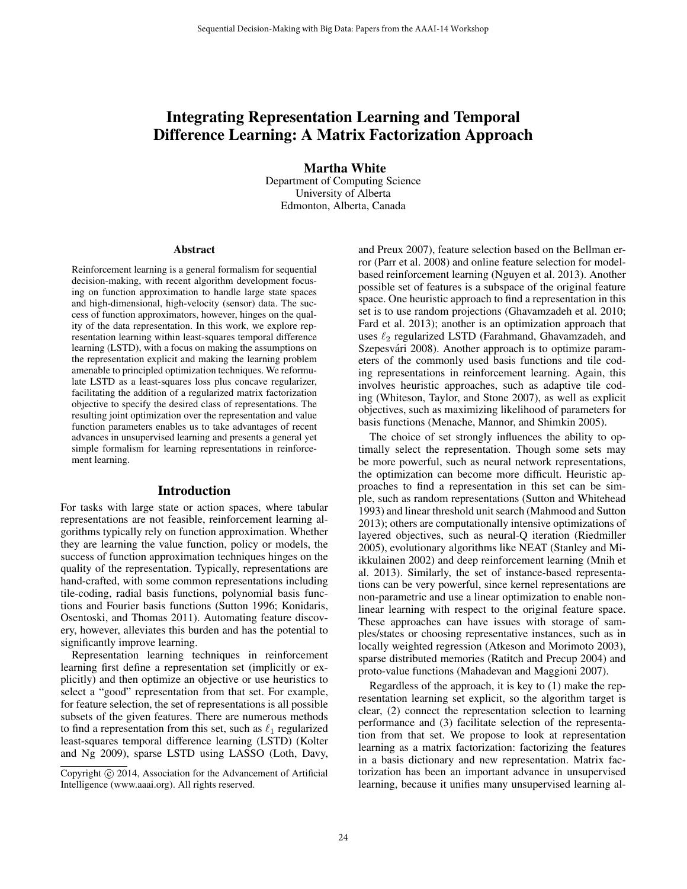# Integrating Representation Learning and Temporal Difference Learning: A Matrix Factorization Approach

Martha White

Department of Computing Science University of Alberta Edmonton, Alberta, Canada

#### Abstract

Reinforcement learning is a general formalism for sequential decision-making, with recent algorithm development focusing on function approximation to handle large state spaces and high-dimensional, high-velocity (sensor) data. The success of function approximators, however, hinges on the quality of the data representation. In this work, we explore representation learning within least-squares temporal difference learning (LSTD), with a focus on making the assumptions on the representation explicit and making the learning problem amenable to principled optimization techniques. We reformulate LSTD as a least-squares loss plus concave regularizer, facilitating the addition of a regularized matrix factorization objective to specify the desired class of representations. The resulting joint optimization over the representation and value function parameters enables us to take advantages of recent advances in unsupervised learning and presents a general yet simple formalism for learning representations in reinforcement learning.

#### Introduction

For tasks with large state or action spaces, where tabular representations are not feasible, reinforcement learning algorithms typically rely on function approximation. Whether they are learning the value function, policy or models, the success of function approximation techniques hinges on the quality of the representation. Typically, representations are hand-crafted, with some common representations including tile-coding, radial basis functions, polynomial basis functions and Fourier basis functions (Sutton 1996; Konidaris, Osentoski, and Thomas 2011). Automating feature discovery, however, alleviates this burden and has the potential to significantly improve learning.

Representation learning techniques in reinforcement learning first define a representation set (implicitly or explicitly) and then optimize an objective or use heuristics to select a "good" representation from that set. For example, for feature selection, the set of representations is all possible subsets of the given features. There are numerous methods to find a representation from this set, such as  $\ell_1$  regularized least-squares temporal difference learning (LSTD) (Kolter and Ng 2009), sparse LSTD using LASSO (Loth, Davy,

and Preux 2007), feature selection based on the Bellman error (Parr et al. 2008) and online feature selection for modelbased reinforcement learning (Nguyen et al. 2013). Another possible set of features is a subspace of the original feature space. One heuristic approach to find a representation in this set is to use random projections (Ghavamzadeh et al. 2010; Fard et al. 2013); another is an optimization approach that uses  $\ell_2$  regularized LSTD (Farahmand, Ghavamzadeh, and Szepesvári 2008). Another approach is to optimize parameters of the commonly used basis functions and tile coding representations in reinforcement learning. Again, this involves heuristic approaches, such as adaptive tile coding (Whiteson, Taylor, and Stone 2007), as well as explicit objectives, such as maximizing likelihood of parameters for basis functions (Menache, Mannor, and Shimkin 2005).

The choice of set strongly influences the ability to optimally select the representation. Though some sets may be more powerful, such as neural network representations, the optimization can become more difficult. Heuristic approaches to find a representation in this set can be simple, such as random representations (Sutton and Whitehead 1993) and linear threshold unit search (Mahmood and Sutton 2013); others are computationally intensive optimizations of layered objectives, such as neural-Q iteration (Riedmiller 2005), evolutionary algorithms like NEAT (Stanley and Miikkulainen 2002) and deep reinforcement learning (Mnih et al. 2013). Similarly, the set of instance-based representations can be very powerful, since kernel representations are non-parametric and use a linear optimization to enable nonlinear learning with respect to the original feature space. These approaches can have issues with storage of samples/states or choosing representative instances, such as in locally weighted regression (Atkeson and Morimoto 2003), sparse distributed memories (Ratitch and Precup 2004) and proto-value functions (Mahadevan and Maggioni 2007).

Regardless of the approach, it is key to (1) make the representation learning set explicit, so the algorithm target is clear, (2) connect the representation selection to learning performance and (3) facilitate selection of the representation from that set. We propose to look at representation learning as a matrix factorization: factorizing the features in a basis dictionary and new representation. Matrix factorization has been an important advance in unsupervised learning, because it unifies many unsupervised learning al-

Copyright (c) 2014, Association for the Advancement of Artificial Intelligence (www.aaai.org). All rights reserved.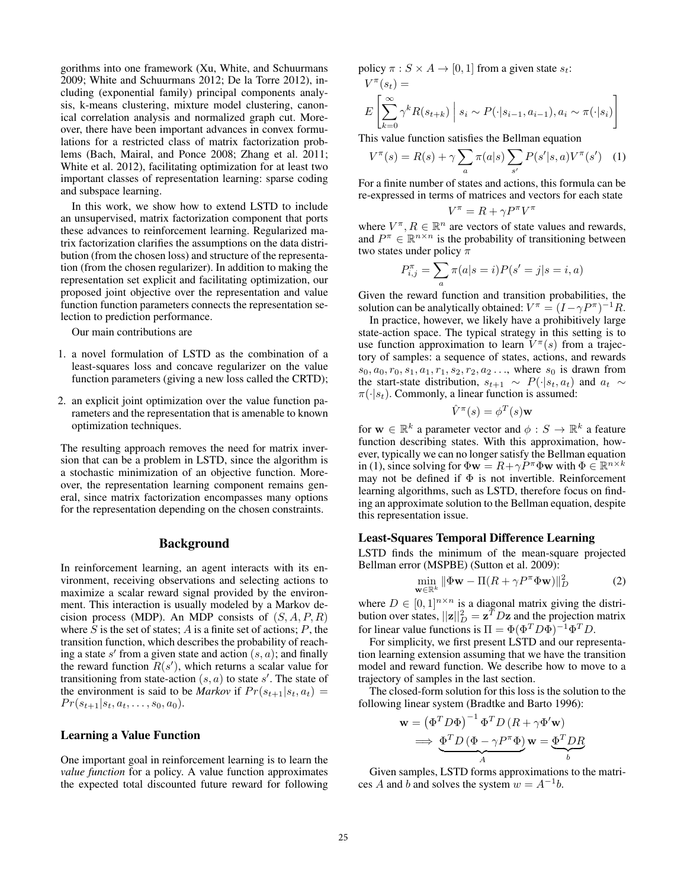gorithms into one framework (Xu, White, and Schuurmans 2009; White and Schuurmans 2012; De la Torre 2012), including (exponential family) principal components analysis, k-means clustering, mixture model clustering, canonical correlation analysis and normalized graph cut. Moreover, there have been important advances in convex formulations for a restricted class of matrix factorization problems (Bach, Mairal, and Ponce 2008; Zhang et al. 2011; White et al. 2012), facilitating optimization for at least two important classes of representation learning: sparse coding and subspace learning.

In this work, we show how to extend LSTD to include an unsupervised, matrix factorization component that ports these advances to reinforcement learning. Regularized matrix factorization clarifies the assumptions on the data distribution (from the chosen loss) and structure of the representation (from the chosen regularizer). In addition to making the representation set explicit and facilitating optimization, our proposed joint objective over the representation and value function function parameters connects the representation selection to prediction performance.

Our main contributions are

- 1. a novel formulation of LSTD as the combination of a least-squares loss and concave regularizer on the value function parameters (giving a new loss called the CRTD);
- 2. an explicit joint optimization over the value function parameters and the representation that is amenable to known optimization techniques.

The resulting approach removes the need for matrix inversion that can be a problem in LSTD, since the algorithm is a stochastic minimization of an objective function. Moreover, the representation learning component remains general, since matrix factorization encompasses many options for the representation depending on the chosen constraints.

## Background

In reinforcement learning, an agent interacts with its environment, receiving observations and selecting actions to maximize a scalar reward signal provided by the environment. This interaction is usually modeled by a Markov decision process (MDP). An MDP consists of  $(S, A, P, R)$ where  $S$  is the set of states;  $A$  is a finite set of actions;  $P$ , the transition function, which describes the probability of reaching a state  $s'$  from a given state and action  $(s, a)$ ; and finally the reward function  $R(s')$ , which returns a scalar value for transitioning from state-action  $(s, a)$  to state s'. The state of the environment is said to be *Markov* if  $Pr(s_{t+1}|s_t, a_t)$  =  $Pr(s_{t+1}|s_t, a_t, \ldots, s_0, a_0).$ 

## Learning a Value Function

One important goal in reinforcement learning is to learn the *value function* for a policy. A value function approximates the expected total discounted future reward for following policy  $\pi : S \times A \rightarrow [0, 1]$  from a given state  $s_t$ :  $V^{\pi}(s_t) =$ 

$$
E\left[\sum_{k=0}^{\infty} \gamma^k R(s_{t+k}) \mid s_i \sim P(\cdot | s_{i-1}, a_{i-1}), a_i \sim \pi(\cdot | s_i)\right]
$$

This value function satisfies the Bellman equation

$$
V^{\pi}(s) = R(s) + \gamma \sum_{a} \pi(a|s) \sum_{s'} P(s'|s, a) V^{\pi}(s')
$$
 (1)

For a finite number of states and actions, this formula can be re-expressed in terms of matrices and vectors for each state

$$
V^{\pi} = R + \gamma P^{\pi} V^{\pi}
$$

where  $V^{\pi}, R \in \mathbb{R}^{n}$  are vectors of state values and rewards, and  $P^{\pi} \in \mathbb{R}^{n \times n}$  is the probability of transitioning between two states under policy  $\pi$ 

$$
P^\pi_{i,j} = \sum_a \pi(a|s=i) P(s'=j|s=i,a)
$$

Given the reward function and transition probabilities, the solution can be analytically obtained:  $V^{\pi} = (I - \gamma P^{\pi})^{-1}R$ .

In practice, however, we likely have a prohibitively large state-action space. The typical strategy in this setting is to use function approximation to learn  $V^{\pi}(s)$  from a trajectory of samples: a sequence of states, actions, and rewards  $s_0, a_0, r_0, s_1, a_1, r_1, s_2, r_2, a_2 \dots$ , where  $s_0$  is drawn from the start-state distribution,  $s_{t+1} \sim P(\cdot|s_t, a_t)$  and  $a_t \sim$  $\pi(\cdot|s_t)$ . Commonly, a linear function is assumed:

$$
\hat{V}^{\pi}(s) = \phi^T(s) \mathbf{w}
$$

for  $\mathbf{w} \in \mathbb{R}^k$  a parameter vector and  $\phi: S \to \mathbb{R}^k$  a feature function describing states. With this approximation, however, typically we can no longer satisfy the Bellman equation in (1), since solving for  $\Phi \mathbf{w} = R + \gamma \dot{P}^{\pi} \Phi \mathbf{w}$  with  $\Phi \in \mathbb{R}^{n \times k}$ may not be defined if  $\Phi$  is not invertible. Reinforcement learning algorithms, such as LSTD, therefore focus on finding an approximate solution to the Bellman equation, despite this representation issue.

#### Least-Squares Temporal Difference Learning

LSTD finds the minimum of the mean-square projected Bellman error (MSPBE) (Sutton et al. 2009):

$$
\min_{\mathbf{w} \in \mathbb{R}^k} \|\Phi \mathbf{w} - \Pi (R + \gamma P^{\pi} \Phi \mathbf{w})\|_{D}^{2}
$$
 (2)

where  $D \in [0,1]^{n \times n}$  is a diagonal matrix giving the distribution over states,  $||\mathbf{z}||_D^2 = \mathbf{z}^T D \mathbf{z}$  and the projection matrix for linear value functions is  $\Pi = \Phi(\Phi^T D \Phi)^{-1} \Phi^T D$ .

For simplicity, we first present LSTD and our representation learning extension assuming that we have the transition model and reward function. We describe how to move to a trajectory of samples in the last section.

The closed-form solution for this loss is the solution to the following linear system (Bradtke and Barto 1996):

$$
\mathbf{w} = (\Phi^T D \Phi)^{-1} \Phi^T D (R + \gamma \Phi' \mathbf{w})
$$
  
\n
$$
\implies \underbrace{\Phi^T D (\Phi - \gamma P^{\pi} \Phi)}_{A} \mathbf{w} = \underbrace{\Phi^T D R}_{b}
$$

Given samples, LSTD forms approximations to the matrices A and b and solves the system  $w = A^{-1}b$ .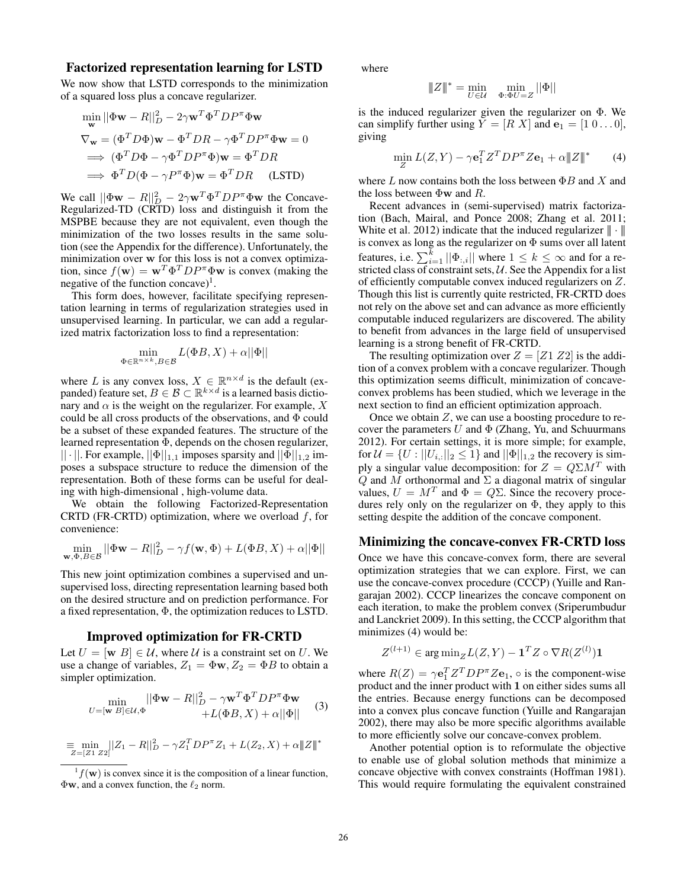## Factorized representation learning for LSTD

We now show that LSTD corresponds to the minimization of a squared loss plus a concave regularizer.

$$
\min_{\mathbf{w}} ||\Phi \mathbf{w} - R||_D^2 - 2\gamma \mathbf{w}^T \Phi^T D P^{\pi} \Phi \mathbf{w}
$$
  
\n
$$
\nabla_{\mathbf{w}} = (\Phi^T D \Phi) \mathbf{w} - \Phi^T D R - \gamma \Phi^T D P^{\pi} \Phi \mathbf{w} = 0
$$
  
\n
$$
\implies (\Phi^T D \Phi - \gamma \Phi^T D P^{\pi} \Phi) \mathbf{w} = \Phi^T D R
$$
  
\n
$$
\implies \Phi^T D (\Phi - \gamma P^{\pi} \Phi) \mathbf{w} = \Phi^T D R
$$
 (LSTD)

We call  $||\Phi \mathbf{w} - R||_D^2 - 2\gamma \mathbf{w}^T \Phi^T D P^{\pi} \Phi \mathbf{w}$  the Concave-Regularized-TD (CRTD) loss and distinguish it from the MSPBE because they are not equivalent, even though the minimization of the two losses results in the same solution (see the Appendix for the difference). Unfortunately, the minimization over w for this loss is not a convex optimization, since  $f(\mathbf{w}) = \mathbf{w}^T \Phi^T D P^{\pi} \Phi \mathbf{w}$  is convex (making the negative of the function concave)<sup>1</sup>.

This form does, however, facilitate specifying representation learning in terms of regularization strategies used in unsupervised learning. In particular, we can add a regularized matrix factorization loss to find a representation:

$$
\min_{\Phi \in \mathbb{R}^{n \times k}, B \in \mathcal{B}} L(\Phi B, X) + \alpha ||\Phi||
$$

where L is any convex loss,  $X \in \mathbb{R}^{n \times d}$  is the default (expanded) feature set,  $B \in \mathcal{B} \subset \mathbb{R}^{k \times d}$  is a learned basis dictionary and  $\alpha$  is the weight on the regularizer. For example, X could be all cross products of the observations, and Φ could be a subset of these expanded features. The structure of the learned representation Φ, depends on the chosen regularizer,  $|| \cdot ||$ . For example,  $|| \Phi ||_{1,1}$  imposes sparsity and  $|| \Phi ||_{1,2}$  imposes a subspace structure to reduce the dimension of the representation. Both of these forms can be useful for dealing with high-dimensional , high-volume data.

We obtain the following Factorized-Representation CRTD (FR-CRTD) optimization, where we overload  $f$ , for convenience:

$$
\min_{\mathbf{w}, \Phi, B \in \mathcal{B}} ||\Phi \mathbf{w} - R||_D^2 - \gamma f(\mathbf{w}, \Phi) + L(\Phi B, X) + \alpha ||\Phi||
$$

This new joint optimization combines a supervised and unsupervised loss, directing representation learning based both on the desired structure and on prediction performance. For a fixed representation, Φ, the optimization reduces to LSTD.

## Improved optimization for FR-CRTD

Let  $U = [\mathbf{w} \ B] \in \mathcal{U}$ , where  $\mathcal{U}$  is a constraint set on U. We use a change of variables,  $Z_1 = \Phi \mathbf{w}, Z_2 = \Phi B$  to obtain a simpler optimization.

$$
\min_{U = [\mathbf{w} \ B] \in \mathcal{U}, \Phi} \frac{||\Phi \mathbf{w} - R||_D^2 - \gamma \mathbf{w}^T \Phi^T D P^{\pi} \Phi \mathbf{w}}{+ L(\Phi B, X) + \alpha ||\Phi||} \tag{3}
$$

$$
\equiv \min_{Z=[Z1\ Z2]} ||Z_1 - R||_D^2 - \gamma Z_1^T D P^{\pi} Z_1 + L(Z_2, X) + \alpha ||Z||^*
$$

where

$$
\|\boldsymbol{Z}\|^* = \min_{\boldsymbol{U} \in \mathcal{U}} \quad \min_{\boldsymbol{\Phi}: \boldsymbol{\Phi}\boldsymbol{U} = \boldsymbol{Z}} ||\boldsymbol{\Phi}||
$$

is the induced regularizer given the regularizer on Φ. We can simplify further using  $Y = [R \ X]$  and  $\mathbf{e}_1 = [1 \ 0 \dots 0],$ giving

$$
\min_{Z} L(Z, Y) - \gamma \mathbf{e}_1^T Z^T D P^{\pi} Z \mathbf{e}_1 + \alpha \|Z\|^* \tag{4}
$$

where  $L$  now contains both the loss between  $\Phi B$  and  $X$  and the loss between  $\Phi$ **w** and *R*.

Recent advances in (semi-supervised) matrix factorization (Bach, Mairal, and Ponce 2008; Zhang et al. 2011; White et al. 2012) indicate that the induced regularizer  $\|\cdot\|$ is convex as long as the regularizer on  $\Phi$  sums over all latent features, i.e.  $\sum_{i=1}^{k} ||\Phi_{:,i}||$  where  $1 \leq k \leq \infty$  and for a restricted class of constraint sets,  $U$ . See the Appendix for a list of efficiently computable convex induced regularizers on Z. Though this list is currently quite restricted, FR-CRTD does not rely on the above set and can advance as more efficiently computable induced regularizers are discovered. The ability to benefit from advances in the large field of unsupervised learning is a strong benefit of FR-CRTD.

The resulting optimization over  $Z = [Z1 Z2]$  is the addition of a convex problem with a concave regularizer. Though this optimization seems difficult, minimization of concaveconvex problems has been studied, which we leverage in the next section to find an efficient optimization approach.

Once we obtain Z, we can use a boosting procedure to recover the parameters  $U$  and  $\Phi$  (Zhang, Yu, and Schuurmans 2012). For certain settings, it is more simple; for example, for  $\mathcal{U} = \{ U : ||U_{i,:}||_2 \leq 1 \}$  and  $||\Phi||_{1,2}$  the recovery is simply a singular value decomposition: for  $Z = Q\Sigma M^T$  with Q and M orthonormal and  $\Sigma$  a diagonal matrix of singular values,  $U = M<sup>T</sup>$  and  $\Phi = Q\Sigma$ . Since the recovery procedures rely only on the regularizer on  $\Phi$ , they apply to this setting despite the addition of the concave component.

## Minimizing the concave-convex FR-CRTD loss

Once we have this concave-convex form, there are several optimization strategies that we can explore. First, we can use the concave-convex procedure (CCCP) (Yuille and Rangarajan 2002). CCCP linearizes the concave component on each iteration, to make the problem convex (Sriperumbudur and Lanckriet 2009). In this setting, the CCCP algorithm that minimizes (4) would be:

$$
Z^{(l+1)} \in \arg\min_{Z} L(Z, Y) - \mathbf{1}^T Z \circ \nabla R(Z^{(l)}) \mathbf{1}
$$

where  $R(Z) = \gamma \mathbf{e}_1^T Z^T D P^{\pi} Z \mathbf{e}_1$ ,  $\circ$  is the component-wise product and the inner product with 1 on either sides sums all the entries. Because energy functions can be decomposed into a convex plus concave function (Yuille and Rangarajan 2002), there may also be more specific algorithms available to more efficiently solve our concave-convex problem.

Another potential option is to reformulate the objective to enable use of global solution methods that minimize a concave objective with convex constraints (Hoffman 1981). This would require formulating the equivalent constrained

 ${}^{1}f(\mathbf{w})$  is convex since it is the composition of a linear function,  $\Phi$ w, and a convex function, the  $\ell_2$  norm.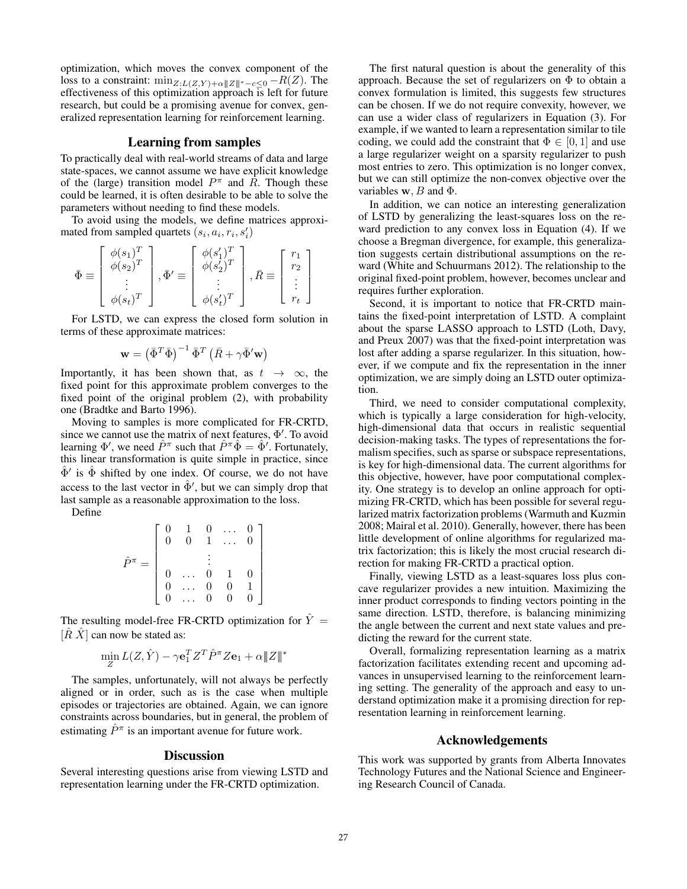optimization, which moves the convex component of the loss to a constraint:  $\min_{Z: L(Z,Y) + \alpha ||Z||^* - c \leq 0} - R(Z)$ . The effectiveness of this optimization approach  $\overline{1}$  s left for future research, but could be a promising avenue for convex, generalized representation learning for reinforcement learning.

## Learning from samples

To practically deal with real-world streams of data and large state-spaces, we cannot assume we have explicit knowledge of the (large) transition model  $P^{\pi}$  and  $\overline{R}$ . Though these could be learned, it is often desirable to be able to solve the parameters without needing to find these models.

To avoid using the models, we define matrices approximated from sampled quartets  $(s_i, a_i, r_i, s'_i)$ 

$$
\bar{\Phi} \equiv \begin{bmatrix} \phi(s_1)^T \\ \phi(s_2)^T \\ \vdots \\ \phi(s_t)^T \end{bmatrix}, \bar{\Phi}' \equiv \begin{bmatrix} \phi(s'_1)^T \\ \phi(s'_2)^T \\ \vdots \\ \phi(s'_t)^T \end{bmatrix}, \bar{R} \equiv \begin{bmatrix} r_1 \\ r_2 \\ \vdots \\ r_t \end{bmatrix}
$$

For LSTD, we can express the closed form solution in terms of these approximate matrices:

$$
\mathbf{w} = \left(\bar{\Phi}^T\bar{\Phi}\right)^{-1}\bar{\Phi}^T\left(\bar{R} + \gamma\bar{\Phi}'\mathbf{w}\right)
$$

Importantly, it has been shown that, as  $t \to \infty$ , the fixed point for this approximate problem converges to the fixed point of the original problem (2), with probability one (Bradtke and Barto 1996).

Moving to samples is more complicated for FR-CRTD, since we cannot use the matrix of next features,  $\Phi'$ . To avoid learning  $\Phi'$ , we need  $\hat{P}^{\pi}$  such that  $\hat{P}^{\pi}\hat{\Phi} = \hat{\Phi}'$ . Fortunately, this linear transformation is quite simple in practice, since  $\hat{\Phi}'$  is  $\hat{\Phi}$  shifted by one index. Of course, we do not have access to the last vector in  $\hat{\Phi}'$ , but we can simply drop that last sample as a reasonable approximation to the loss.

Define

$$
\hat{P}^{\pi} = \left[ \begin{array}{ccccc} 0 & 1 & 0 & \dots & 0 \\ 0 & 0 & 1 & \dots & 0 \\ & & \vdots & & \\ 0 & \dots & 0 & 1 & 0 \\ 0 & \dots & 0 & 0 & 1 \\ 0 & \dots & 0 & 0 & 0 \end{array} \right]
$$

The resulting model-free FR-CRTD optimization for  $\hat{Y} =$  $[\hat{R} \hat{X}]$  can now be stated as:

$$
\min_{Z} L(Z, \hat{Y}) - \gamma \mathbf{e}_1^T Z^T \hat{P}^\pi Z \mathbf{e}_1 + \alpha \|\|Z\|^*
$$

The samples, unfortunately, will not always be perfectly aligned or in order, such as is the case when multiple episodes or trajectories are obtained. Again, we can ignore constraints across boundaries, but in general, the problem of estimating  $\hat{P}^{\pi}$  is an important avenue for future work.

#### **Discussion**

Several interesting questions arise from viewing LSTD and representation learning under the FR-CRTD optimization.

The first natural question is about the generality of this approach. Because the set of regularizers on Φ to obtain a convex formulation is limited, this suggests few structures can be chosen. If we do not require convexity, however, we can use a wider class of regularizers in Equation (3). For example, if we wanted to learn a representation similar to tile coding, we could add the constraint that  $\Phi \in [0, 1]$  and use a large regularizer weight on a sparsity regularizer to push most entries to zero. This optimization is no longer convex, but we can still optimize the non-convex objective over the variables  $\mathbf{w}$ , B and  $\Phi$ .

In addition, we can notice an interesting generalization of LSTD by generalizing the least-squares loss on the reward prediction to any convex loss in Equation (4). If we choose a Bregman divergence, for example, this generalization suggests certain distributional assumptions on the reward (White and Schuurmans 2012). The relationship to the original fixed-point problem, however, becomes unclear and requires further exploration.

Second, it is important to notice that FR-CRTD maintains the fixed-point interpretation of LSTD. A complaint about the sparse LASSO approach to LSTD (Loth, Davy, and Preux 2007) was that the fixed-point interpretation was lost after adding a sparse regularizer. In this situation, however, if we compute and fix the representation in the inner optimization, we are simply doing an LSTD outer optimization.

Third, we need to consider computational complexity, which is typically a large consideration for high-velocity, high-dimensional data that occurs in realistic sequential decision-making tasks. The types of representations the formalism specifies, such as sparse or subspace representations, is key for high-dimensional data. The current algorithms for this objective, however, have poor computational complexity. One strategy is to develop an online approach for optimizing FR-CRTD, which has been possible for several regularized matrix factorization problems (Warmuth and Kuzmin 2008; Mairal et al. 2010). Generally, however, there has been little development of online algorithms for regularized matrix factorization; this is likely the most crucial research direction for making FR-CRTD a practical option.

Finally, viewing LSTD as a least-squares loss plus concave regularizer provides a new intuition. Maximizing the inner product corresponds to finding vectors pointing in the same direction. LSTD, therefore, is balancing minimizing the angle between the current and next state values and predicting the reward for the current state.

Overall, formalizing representation learning as a matrix factorization facilitates extending recent and upcoming advances in unsupervised learning to the reinforcement learning setting. The generality of the approach and easy to understand optimization make it a promising direction for representation learning in reinforcement learning.

## Acknowledgements

This work was supported by grants from Alberta Innovates Technology Futures and the National Science and Engineering Research Council of Canada.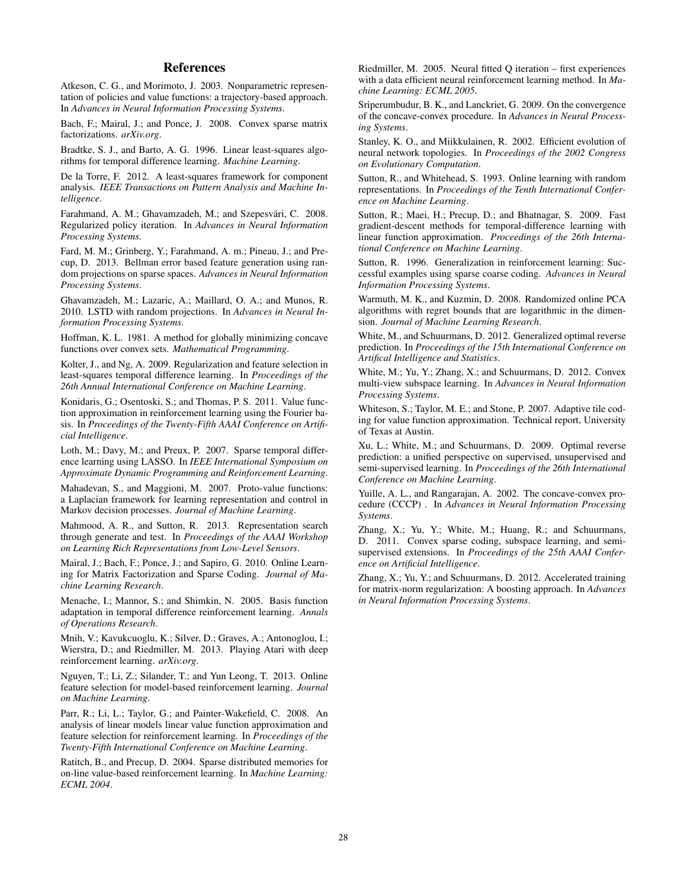## References

Atkeson, C. G., and Morimoto, J. 2003. Nonparametric representation of policies and value functions: a trajectory-based approach. In *Advances in Neural Information Processing Systems*.

Bach, F.; Mairal, J.; and Ponce, J. 2008. Convex sparse matrix factorizations. *arXiv.org*.

Bradtke, S. J., and Barto, A. G. 1996. Linear least-squares algorithms for temporal difference learning. *Machine Learning*.

De la Torre, F. 2012. A least-squares framework for component analysis. *IEEE Transactions on Pattern Analysis and Machine Intelligence*.

Farahmand, A. M.; Ghavamzadeh, M.; and Szepesvári, C. 2008. Regularized policy iteration. In *Advances in Neural Information Processing Systems*.

Fard, M. M.; Grinberg, Y.; Farahmand, A. m.; Pineau, J.; and Precup, D. 2013. Bellman error based feature generation using random projections on sparse spaces. *Advances in Neural Information Processing Systems*.

Ghavamzadeh, M.; Lazaric, A.; Maillard, O. A.; and Munos, R. 2010. LSTD with random projections. In *Advances in Neural Information Processing Systems*.

Hoffman, K. L. 1981. A method for globally minimizing concave functions over convex sets. *Mathematical Programming*.

Kolter, J., and Ng, A. 2009. Regularization and feature selection in least-squares temporal difference learning. In *Proceedings of the 26th Annual International Conference on Machine Learning*.

Konidaris, G.; Osentoski, S.; and Thomas, P. S. 2011. Value function approximation in reinforcement learning using the Fourier basis. In *Proceedings of the Twenty-Fifth AAAI Conference on Artificial Intelligence*.

Loth, M.; Davy, M.; and Preux, P. 2007. Sparse temporal difference learning using LASSO. In *IEEE International Symposium on Approximate Dynamic Programming and Reinforcement Learning*.

Mahadevan, S., and Maggioni, M. 2007. Proto-value functions: a Laplacian framework for learning representation and control in Markov decision processes. *Journal of Machine Learning*.

Mahmood, A. R., and Sutton, R. 2013. Representation search through generate and test. In *Proceedings of the AAAI Workshop on Learning Rich Representations from Low-Level Sensors*.

Mairal, J.; Bach, F.; Ponce, J.; and Sapiro, G. 2010. Online Learning for Matrix Factorization and Sparse Coding. *Journal of Machine Learning Research*.

Menache, I.; Mannor, S.; and Shimkin, N. 2005. Basis function adaptation in temporal difference reinforcement learning. *Annals of Operations Research*.

Mnih, V.; Kavukcuoglu, K.; Silver, D.; Graves, A.; Antonoglou, I.; Wierstra, D.; and Riedmiller, M. 2013. Playing Atari with deep reinforcement learning. *arXiv.org*.

Nguyen, T.; Li, Z.; Silander, T.; and Yun Leong, T. 2013. Online feature selection for model-based reinforcement learning. *Journal on Machine Learning*.

Parr, R.; Li, L.; Taylor, G.; and Painter-Wakefield, C. 2008. An analysis of linear models linear value function approximation and feature selection for reinforcement learning. In *Proceedings of the Twenty-Fifth International Conference on Machine Learning*.

Ratitch, B., and Precup, D. 2004. Sparse distributed memories for on-line value-based reinforcement learning. In *Machine Learning: ECML 2004*.

Riedmiller, M. 2005. Neural fitted Q iteration – first experiences with a data efficient neural reinforcement learning method. In *Machine Learning: ECML 2005*.

Sriperumbudur, B. K., and Lanckriet, G. 2009. On the convergence of the concave-convex procedure. In *Advances in Neural Processing Systems*.

Stanley, K. O., and Miikkulainen, R. 2002. Efficient evolution of neural network topologies. In *Proceedings of the 2002 Congress on Evolutionary Computation*.

Sutton, R., and Whitehead, S. 1993. Online learning with random representations. In *Proceedings of the Tenth International Conference on Machine Learning*.

Sutton, R.; Maei, H.; Precup, D.; and Bhatnagar, S. 2009. Fast gradient-descent methods for temporal-difference learning with linear function approximation. *Proceedings of the 26th International Conference on Machine Learning*.

Sutton, R. 1996. Generalization in reinforcement learning: Successful examples using sparse coarse coding. *Advances in Neural Information Processing Systems*.

Warmuth, M. K., and Kuzmin, D. 2008. Randomized online PCA algorithms with regret bounds that are logarithmic in the dimension. *Journal of Machine Learning Research*.

White, M., and Schuurmans, D. 2012. Generalized optimal reverse prediction. In *Proceedings of the 15th International Conference on Artifical Intelligence and Statistics*.

White, M.; Yu, Y.; Zhang, X.; and Schuurmans, D. 2012. Convex multi-view subspace learning. In *Advances in Neural Information Processing Systems*.

Whiteson, S.; Taylor, M. E.; and Stone, P. 2007. Adaptive tile coding for value function approximation. Technical report, University of Texas at Austin.

Xu, L.; White, M.; and Schuurmans, D. 2009. Optimal reverse prediction: a unified perspective on supervised, unsupervised and semi-supervised learning. In *Proceedings of the 26th International Conference on Machine Learning*.

Yuille, A. L., and Rangarajan, A. 2002. The concave-convex procedure (CCCP) . In *Advances in Neural Information Processing Systems*.

Zhang, X.; Yu, Y.; White, M.; Huang, R.; and Schuurmans, D. 2011. Convex sparse coding, subspace learning, and semisupervised extensions. In *Proceedings of the 25th AAAI Conference on Artificial Intelligence*.

Zhang, X.; Yu, Y.; and Schuurmans, D. 2012. Accelerated training for matrix-norm regularization: A boosting approach. In *Advances in Neural Information Processing Systems*.